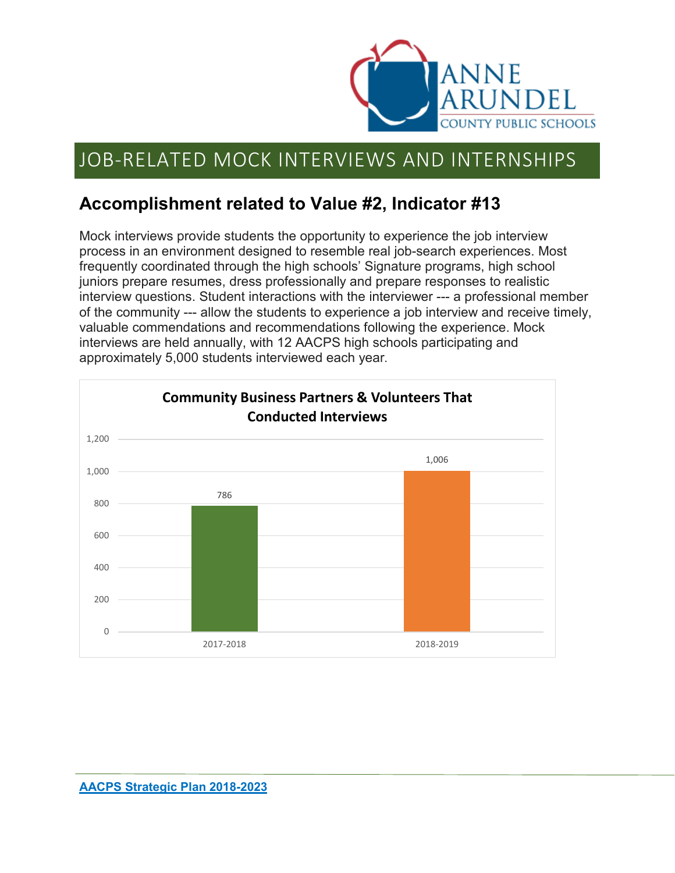

# JOB-RELATED MOCK INTERVIEWS AND INTERNSHIPS

### **Accomplishment related to Value #2, Indicator #13**

Mock interviews provide students the opportunity to experience the job interview process in an environment designed to resemble real job-search experiences. Most frequently coordinated through the high schools' Signature programs, high school juniors prepare resumes, dress professionally and prepare responses to realistic interview questions. Student interactions with the interviewer --- a professional member of the community --- allow the students to experience a job interview and receive timely, valuable commendations and recommendations following the experience. Mock interviews are held annually, with 12 AACPS high schools participating and approximately 5,000 students interviewed each year.

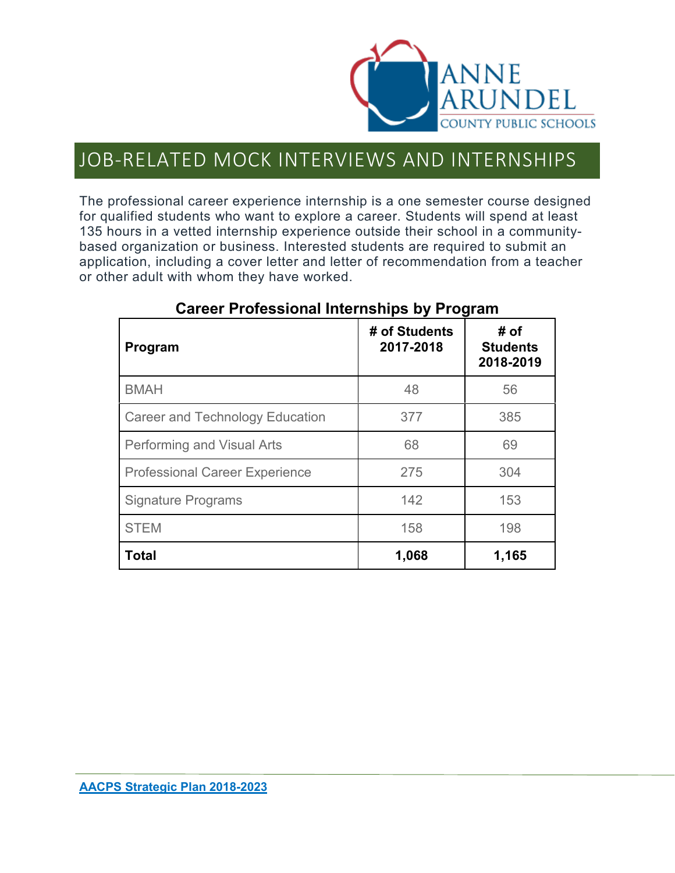

### JOB-RELATED MOCK INTERVIEWS AND INTERNSHIPS

The professional career experience internship is a one semester course designed for qualified students who want to explore a career. Students will spend at least 135 hours in a vetted internship experience outside their school in a communitybased organization or business. Interested students are required to submit an application, including a cover letter and letter of recommendation from a teacher or other adult with whom they have worked.

| Program                               | # of Students<br>2017-2018 | # of<br><b>Students</b><br>2018-2019 |
|---------------------------------------|----------------------------|--------------------------------------|
| <b>BMAH</b>                           | 48                         | 56                                   |
| Career and Technology Education       | 377                        | 385                                  |
| Performing and Visual Arts            | 68                         | 69                                   |
| <b>Professional Career Experience</b> | 275                        | 304                                  |
| <b>Signature Programs</b>             | 142                        | 153                                  |
| <b>STEM</b>                           | 158                        | 198                                  |
| <b>Total</b>                          | 1,068                      | 1,165                                |

### **Career Professional Internships by Program**